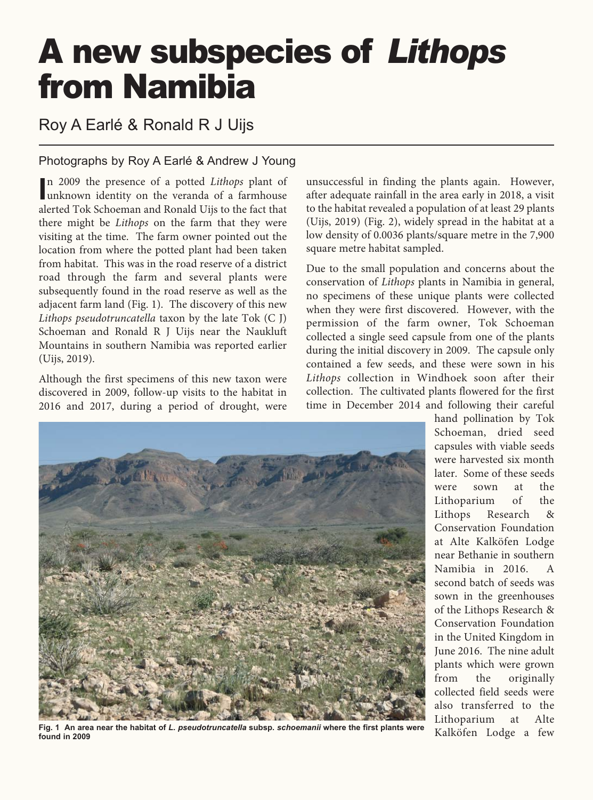# A new subspecies of *Lithops* from Namibia

Roy A Earlé & Ronald R J Uijs

### Photographs by Roy A Earlé & Andrew J Young

In 2009 the presence of a potted *Lithops* plant of<br>
unknown identity on the veranda of a farmhouse n 2009 the presence of a potted *Lithops* plant of alerted Tok Schoeman and Ronald Uijs to the fact that there might be *Lithops* on the farm that they were visiting at the time. The farm owner pointed out the location from where the potted plant had been taken from habitat. This was in the road reserve of a district road through the farm and several plants were subsequently found in the road reserve as well as the adjacent farm land (Fig. 1). The discovery of this new *Lithops pseudotruncatella* taxon by the late Tok (C J) Schoeman and Ronald R J Uijs near the Naukluft Mountains in southern Namibia was reported earlier (Uijs, 2019).

Although the first specimens of this new taxon were discovered in 2009, follow-up visits to the habitat in 2016 and 2017, during a period of drought, were

unsuccessful in finding the plants again. However, after adequate rainfall in the area early in 2018, a visit to the habitat revealed a population of at least 29 plants (Uijs, 2019) (Fig. 2), widely spread in the habitat at a low density of 0.0036 plants/square metre in the 7,900 square metre habitat sampled.

Due to the small population and concerns about the conservation of *Lithops* plants in Namibia in general, no specimens of these unique plants were collected when they were first discovered. However, with the permission of the farm owner, Tok Schoeman collected a single seed capsule from one of the plants during the initial discovery in 2009. The capsule only contained a few seeds, and these were sown in his *Lithops* collection in Windhoek soon after their collection. The cultivated plants flowered for the first time in December 2014 and following their careful



**Fig. 1 An area near the habitat of** *L. pseudotruncatella* **subsp.** *schoemanii* **where the first plants were found in 2009**

hand pollination by Tok Schoeman, dried seed capsules with viable seeds were harvested six month later. Some of these seeds were sown at the Lithoparium of the Lithops Research & Conservation Foundation at Alte Kalköfen Lodge near Bethanie in southern Namibia in 2016. A second batch of seeds was sown in the greenhouses of the Lithops Research & Conservation Foundation in the United Kingdom in June 2016. The nine adult plants which were grown from the originally collected field seeds were also transferred to the Lithoparium at Alte Kalköfen Lodge a few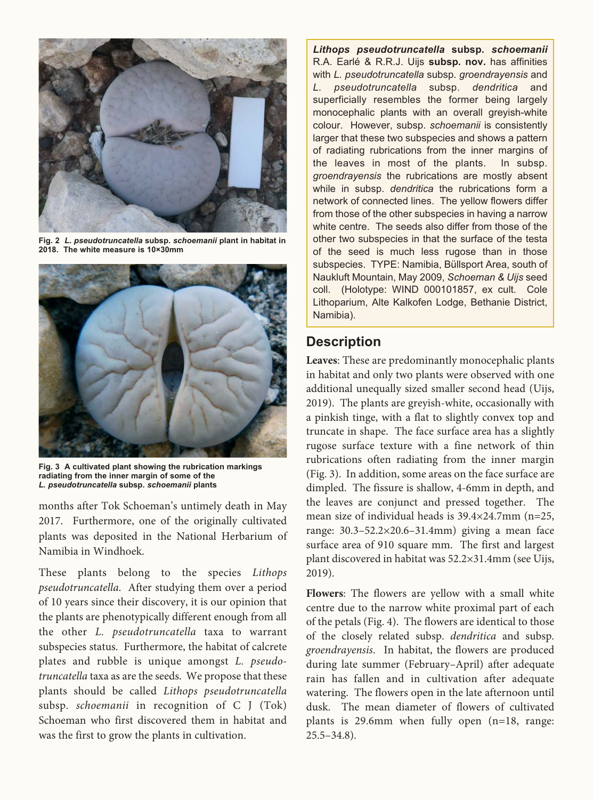

**Fig. 2** *L. pseudotruncatella* **subsp.** *schoemanii* **plant in habitat in 2018. The white measure is 10×30mm**



**Fig. 3 A cultivated plant showing the rubrication markings radiating from the inner margin of some of the**  *L. pseudotruncatella* **subsp.** *schoemanii* **plants**

months after Tok Schoeman's untimely death in May 2017. Furthermore, one of the originally cultivated plants was deposited in the National Herbarium of Namibia in Windhoek.

These plants belong to the species *Lithops pseudotruncatella*. After studying them over a period of 10 years since their discovery, it is our opinion that the plants are phenotypically different enough from all the other *L. pseudotruncatella* taxa to warrant subspecies status. Furthermore, the habitat of calcrete plates and rubble is unique amongst *L. pseudotruncatella* taxa as are the seeds. We propose that these plants should be called *Lithops pseudotruncatella* subsp. *schoemanii* in recognition of C J (Tok) Schoeman who first discovered them in habitat and was the first to grow the plants in cultivation.

*Lithops pseudotruncatella* **subsp.** *schoemanii* R.A. Earlé & R.R.J. Uijs **subsp. nov.** has affinities with *L. pseudotruncatella* subsp. *groendrayensis* and *L. pseudotruncatella* subsp. *dendritica* and superficially resembles the former being largely monocephalic plants with an overall greyish-white colour. However, subsp. *schoemanii* is consistently larger that these two subspecies and shows a pattern of radiating rubrications from the inner margins of the leaves in most of the plants. In subsp. *groendrayensis* the rubrications are mostly absent while in subsp. *dendritica* the rubrications form a network of connected lines. The yellow flowers differ from those of the other subspecies in having a narrow white centre. The seeds also differ from those of the other two subspecies in that the surface of the testa of the seed is much less rugose than in those subspecies. TYPE: Namibia, Büllsport Area, south of Naukluft Mountain, May 2009, *Schoeman & Uijs* seed coll. (Holotype: WIND 000101857, ex cult. Cole Lithoparium, Alte Kalkofen Lodge, Bethanie District, Namibia).

## **Description**

**Leaves**: These are predominantly monocephalic plants in habitat and only two plants were observed with one additional unequally sized smaller second head (Uijs, 2019). The plants are greyish-white, occasionally with a pinkish tinge, with a flat to slightly convex top and truncate in shape. The face surface area has a slightly rugose surface texture with a fine network of thin rubrications often radiating from the inner margin (Fig. 3). In addition, some areas on the face surface are dimpled. The fissure is shallow, 4-6mm in depth, and the leaves are conjunct and pressed together. The mean size of individual heads is 39.4×24.7mm (n=25, range: 30.3–52.2×20.6–31.4mm) giving a mean face surface area of 910 square mm. The first and largest plant discovered in habitat was 52.2×31.4mm (see Uijs, 2019).

**Flowers**: The flowers are yellow with a small white centre due to the narrow white proximal part of each of the petals (Fig. 4). The flowers are identical to those of the closely related subsp. *dendritica* and subsp. *groendrayensis*. In habitat, the flowers are produced during late summer (February–April) after adequate rain has fallen and in cultivation after adequate watering. The flowers open in the late afternoon until dusk. The mean diameter of flowers of cultivated plants is 29.6mm when fully open (n=18, range:  $25.5 - 34.8$ .